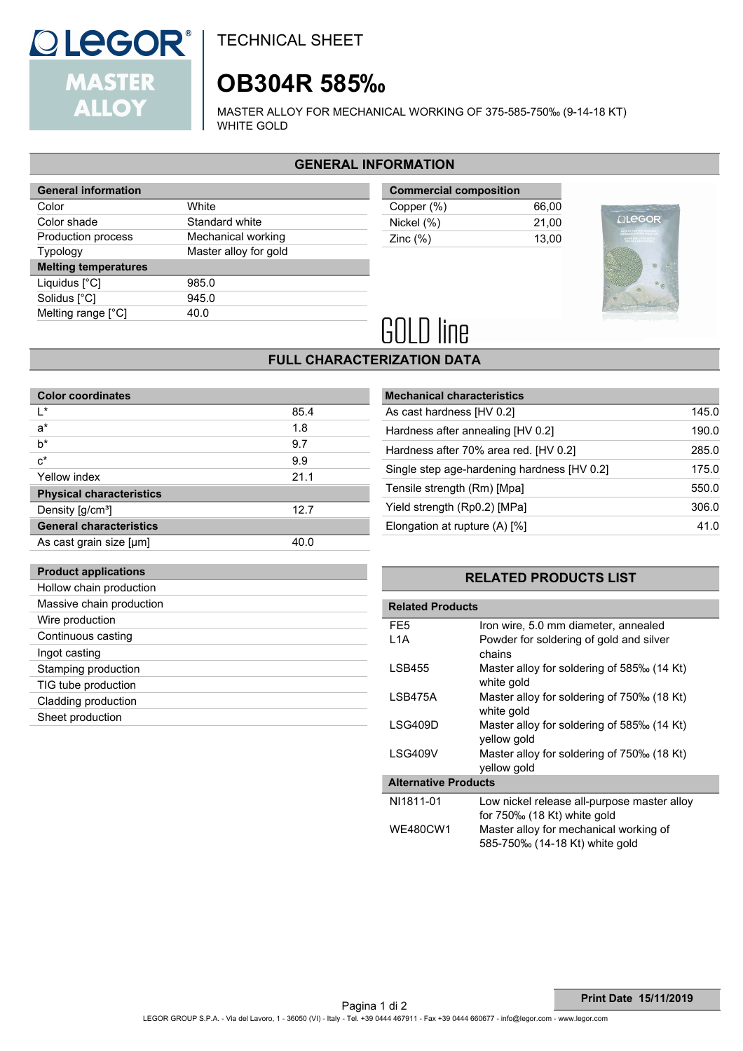

# **OB304R 585‰**

MASTER ALLOY FOR MECHANICAL WORKING OF 375-585-750‰ (9-14-18 KT) WHITE GOLD

### **GENERAL INFORMATION**

| <b>General information</b>  |                       |  |
|-----------------------------|-----------------------|--|
| Color                       | White                 |  |
| Color shade                 | Standard white        |  |
| Production process          | Mechanical working    |  |
| <b>Typology</b>             | Master alloy for gold |  |
|                             |                       |  |
| <b>Melting temperatures</b> |                       |  |
| Liquidus $[^{\circ}C]$      | 985.0                 |  |
| Solidus [°C]                | 945.0                 |  |
| Melting range [°C]          | 40.O                  |  |

| <b>Commercial composition</b> |       |
|-------------------------------|-------|
| Copper (%)                    | 66.00 |
| Nickel (%)                    | 21.00 |
| Zinc $(\%)$                   | 13.00 |



# **GOLD** line

## **FULL CHARACTERIZATION DATA**

| <b>Color coordinates</b>        |      |
|---------------------------------|------|
| ı∗                              | 85.4 |
| $a^*$                           | 1.8  |
| $b^*$                           | 9.7  |
| $c^*$                           | 9.9  |
| Yellow index                    | 21.1 |
| <b>Physical characteristics</b> |      |
| Density [g/cm <sup>3</sup> ]    | 12.7 |
| <b>General characteristics</b>  |      |
| As cast grain size [µm]         | 40.0 |

| <b>Mechanical characteristics</b>           |       |
|---------------------------------------------|-------|
| As cast hardness [HV 0.2]                   | 145.0 |
| Hardness after annealing [HV 0.2]           | 190.0 |
| Hardness after 70% area red. [HV 0.2]       | 285.0 |
| Single step age-hardening hardness [HV 0.2] | 175.0 |
| Tensile strength (Rm) [Mpa]                 | 550.0 |
| Yield strength (Rp0.2) [MPa]                | 306.0 |
| Elongation at rupture (A) [%]               | 41.0  |

## **Product applications**

| Hollow chain production  |  |
|--------------------------|--|
| Massive chain production |  |
| Wire production          |  |
| Continuous casting       |  |
| Ingot casting            |  |
| Stamping production      |  |
| TIG tube production      |  |
| Cladding production      |  |
| Sheet production         |  |
|                          |  |

### **RELATED PRODUCTS LIST**

| <b>Related Products</b>     |                                                           |  |  |
|-----------------------------|-----------------------------------------------------------|--|--|
| FE5                         | Iron wire, 5.0 mm diameter, annealed                      |  |  |
| L1A                         | Powder for soldering of gold and silver<br>chains         |  |  |
| <b>LSB455</b>               | Master alloy for soldering of 585‰ (14 Kt)<br>white gold  |  |  |
| I SB475A                    | Master alloy for soldering of 750‰ (18 Kt)<br>white gold  |  |  |
| LSG409D                     | Master alloy for soldering of 585‰ (14 Kt)<br>yellow gold |  |  |
| LSG409V                     | Master alloy for soldering of 750‰ (18 Kt)<br>vellow gold |  |  |
| <b>Alternative Products</b> |                                                           |  |  |
| NI1811-01                   | Low nickel release all-purpose master alloy               |  |  |
|                             | for $750\%$ (18 Kt) white gold                            |  |  |
| WE480CW1                    | Master alloy for mechanical working of                    |  |  |
|                             | 585-750‰ (14-18 Kt) white gold                            |  |  |